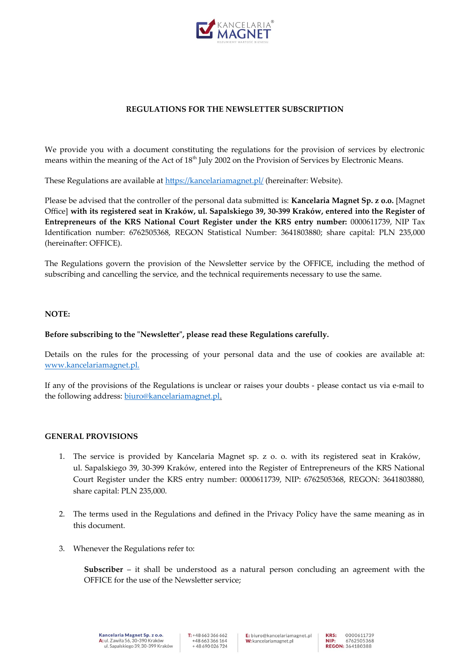

### **REGULATIONS FOR THE NEWSLETTER SUBSCRIPTION**

We provide you with a document constituting the regulations for the provision of services by electronic means within the meaning of the Act of 18<sup>th</sup> July 2002 on the Provision of Services by Electronic Means.

These Regulations are available at<https://kancelariamagnet.pl/>(hereinafter: Website).

Please be advised that the controller of the personal data submitted is: **Kancelaria Magnet Sp. z o.o.** [Magnet Office] **with its registered seat in Kraków, ul. Sapalskiego 39, 30-399 Kraków, entered into the Register of Entrepreneurs of the KRS National Court Register under the KRS entry number:** 0000611739, NIP Tax Identification number: 6762505368, REGON Statistical Number: 3641803880; share capital: PLN 235,000 (hereinafter: OFFICE).

The Regulations govern the provision of the Newsletter service by the OFFICE, including the method of subscribing and cancelling the service, and the technical requirements necessary to use the same.

#### **NOTE:**

#### **Before subscribing to the "Newsletter", please read these Regulations carefully.**

Details on the rules for the processing of your personal data and the use of cookies are available at: [www.kancelariamagnet.pl.](../../../../../Gabriela/Downloads/www.kancelariamagnet.pl)

If any of the provisions of the Regulations is unclear or raises your doubts - please contact us via e-mail to the following address: [biuro@kancelariamagnet.pl.](mailto:biuro@kancelariamagnet.pl)

#### **GENERAL PROVISIONS**

- 1. The service is provided by Kancelaria Magnet sp. z o. o. with its registered seat in Kraków, ul. Sapalskiego 39, 30-399 Kraków, entered into the Register of Entrepreneurs of the KRS National Court Register under the KRS entry number: 0000611739, NIP: 6762505368, REGON: 3641803880, share capital: PLN 235,000.
- 2. The terms used in the Regulations and defined in the Privacy Policy have the same meaning as in this document.
- 3. Whenever the Regulations refer to:

**Subscriber** – it shall be understood as a natural person concluding an agreement with the OFFICE for the use of the Newsletter service;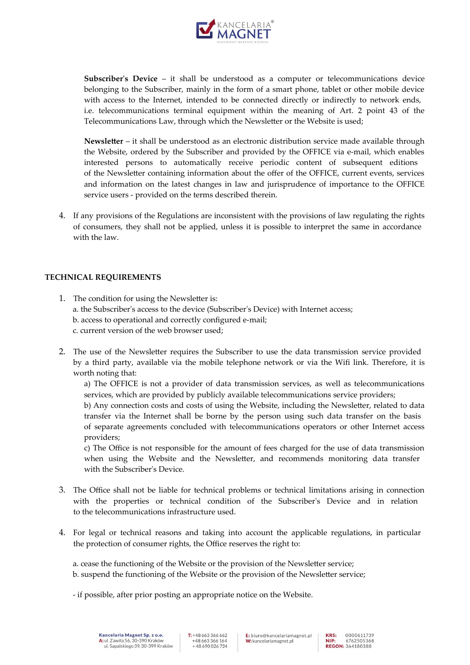

**Subscriber's Device** – it shall be understood as a computer or telecommunications device belonging to the Subscriber, mainly in the form of a smart phone, tablet or other mobile device with access to the Internet, intended to be connected directly or indirectly to network ends, i.e. telecommunications terminal equipment within the meaning of Art. 2 point 43 of the Telecommunications Law, through which the Newsletter or the Website is used;

**Newsletter** – it shall be understood as an electronic distribution service made available through the Website, ordered by the Subscriber and provided by the OFFICE via e-mail, which enables interested persons to automatically receive periodic content of subsequent editions of the Newsletter containing information about the offer of the OFFICE, current events, services and information on the latest changes in law and jurisprudence of importance to the OFFICE service users - provided on the terms described therein.

4. If any provisions of the Regulations are inconsistent with the provisions of law regulating the rights of consumers, they shall not be applied, unless it is possible to interpret the same in accordance with the law.

# **TECHNICAL REQUIREMENTS**

providers;

- 1. The condition for using the Newsletter is: a. the Subscriber's access to the device (Subscriber's Device) with Internet access; b. access to operational and correctly configured e-mail; c. current version of the web browser used;
- 2. The use of the Newsletter requires the Subscriber to use the data transmission service provided by a third party, available via the mobile telephone network or via the Wifi link. Therefore, it is worth noting that:

a) The OFFICE is not a provider of data transmission services, as well as telecommunications services, which are provided by publicly available telecommunications service providers; b) Any connection costs and costs of using the Website, including the Newsletter, related to data transfer via the Internet shall be borne by the person using such data transfer on the basis of separate agreements concluded with telecommunications operators or other Internet access

c) The Office is not responsible for the amount of fees charged for the use of data transmission when using the Website and the Newsletter, and recommends monitoring data transfer with the Subscriber's Device.

- 3. The Office shall not be liable for technical problems or technical limitations arising in connection with the properties or technical condition of the Subscriber's Device and in relation to the telecommunications infrastructure used.
- 4. For legal or technical reasons and taking into account the applicable regulations, in particular the protection of consumer rights, the Office reserves the right to:

a. cease the functioning of the Website or the provision of the Newsletter service; b. suspend the functioning of the Website or the provision of the Newsletter service;

- if possible, after prior posting an appropriate notice on the Website.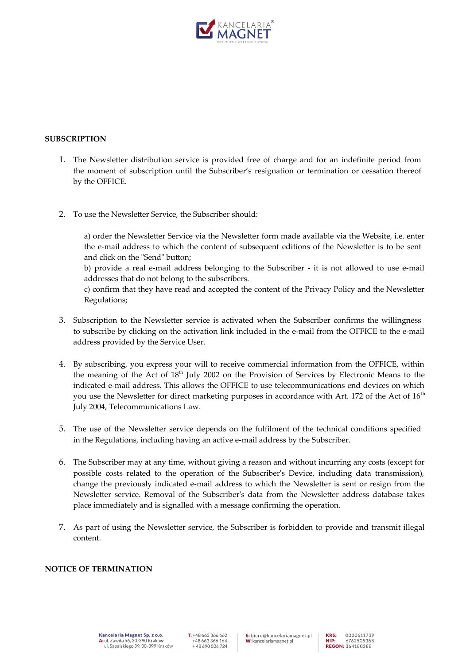

### **SUBSCRIPTION**

- 1. The Newsletter distribution service is provided free of charge and for an indefinite period from the moment of subscription until the Subscriber's resignation or termination or cessation thereof by the OFFICE.
- 2. To use the Newsletter Service, the Subscriber should:

a) order the Newsletter Service via the Newsletter form made available via the Website, i.e. enter the e-mail address to which the content of subsequent editions of the Newsletter is to be sent and click on the "Send" button;

b) provide a real e-mail address belonging to the Subscriber - it is not allowed to use e-mail addresses that do not belong to the subscribers.

c) confirm that they have read and accepted the content of the Privacy Policy and the Newsletter Regulations;

- 3. Subscription to the Newsletter service is activated when the Subscriber confirms the willingness to subscribe by clicking on the activation link included in the e-mail from the OFFICE to the e-mail address provided by the Service User.
- 4. By subscribing, you express your will to receive commercial information from the OFFICE, within the meaning of the Act of  $18<sup>th</sup>$  July 2002 on the Provision of Services by Electronic Means to the indicated e-mail address. This allows the OFFICE to use telecommunications end devices on which you use the Newsletter for direct marketing purposes in accordance with Art. 172 of the Act of  $16<sup>th</sup>$ July 2004, Telecommunications Law.
- 5. The use of the Newsletter service depends on the fulfilment of the technical conditions specified in the Regulations, including having an active e-mail address by the Subscriber.
- 6. The Subscriber may at any time, without giving a reason and without incurring any costs (except for possible costs related to the operation of the Subscriber's Device, including data transmission), change the previously indicated e-mail address to which the Newsletter is sent or resign from the Newsletter service. Removal of the Subscriber's data from the Newsletter address database takes place immediately and is signalled with a message confirming the operation.
- 7. As part of using the Newsletter service, the Subscriber is forbidden to provide and transmit illegal content.

# **NOTICE OF TERMINATION**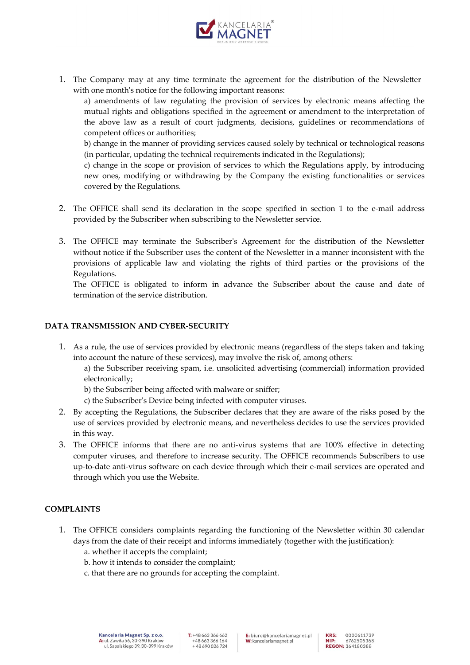

1. The Company may at any time terminate the agreement for the distribution of the Newsletter with one month's notice for the following important reasons:

a) amendments of law regulating the provision of services by electronic means affecting the mutual rights and obligations specified in the agreement or amendment to the interpretation of the above law as a result of court judgments, decisions, guidelines or recommendations of competent offices or authorities;

b) change in the manner of providing services caused solely by technical or technological reasons (in particular, updating the technical requirements indicated in the Regulations);

c) change in the scope or provision of services to which the Regulations apply, by introducing new ones, modifying or withdrawing by the Company the existing functionalities or services covered by the Regulations.

- 2. The OFFICE shall send its declaration in the scope specified in section 1 to the e-mail address provided by the Subscriber when subscribing to the Newsletter service.
- 3. The OFFICE may terminate the Subscriber's Agreement for the distribution of the Newsletter without notice if the Subscriber uses the content of the Newsletter in a manner inconsistent with the provisions of applicable law and violating the rights of third parties or the provisions of the Regulations.

The OFFICE is obligated to inform in advance the Subscriber about the cause and date of termination of the service distribution.

# **DATA TRANSMISSION AND CYBER-SECURITY**

1. As a rule, the use of services provided by electronic means (regardless of the steps taken and taking into account the nature of these services), may involve the risk of, among others:

a) the Subscriber receiving spam, i.e. unsolicited advertising (commercial) information provided electronically;

- b) the Subscriber being affected with malware or sniffer;
- c) the Subscriber's Device being infected with computer viruses.
- 2. By accepting the Regulations, the Subscriber declares that they are aware of the risks posed by the use of services provided by electronic means, and nevertheless decides to use the services provided in this way.
- 3. The OFFICE informs that there are no anti-virus systems that are 100% effective in detecting computer viruses, and therefore to increase security. The OFFICE recommends Subscribers to use up-to-date anti-virus software on each device through which their e-mail services are operated and through which you use the Website.

# **COMPLAINTS**

- 1. The OFFICE considers complaints regarding the functioning of the Newsletter within 30 calendar days from the date of their receipt and informs immediately (together with the justification):
	- a. whether it accepts the complaint;
	- b. how it intends to consider the complaint;
	- c. that there are no grounds for accepting the complaint.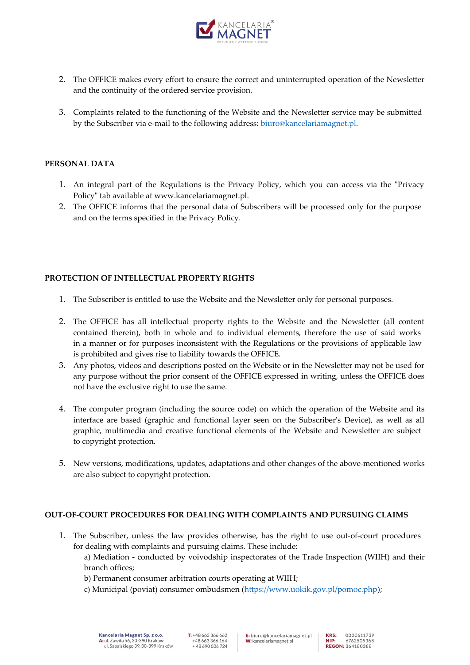

- 2. The OFFICE makes every effort to ensure the correct and uninterrupted operation of the Newsletter and the continuity of the ordered service provision.
- 3. Complaints related to the functioning of the Website and the Newsletter service may be submitted by the Subscriber via e-mail to the following address: [biuro@kancelariamagnet.pl](mailto:biuro@kancelariamagnet.pl).

### **PERSONAL DATA**

- 1. An integral part of the Regulations is the Privacy Policy, which you can access via the "Privacy Policy" tab available at www.kancelariamagnet.pl.
- 2. The OFFICE informs that the personal data of Subscribers will be processed only for the purpose and on the terms specified in the Privacy Policy.

# **PROTECTION OF INTELLECTUAL PROPERTY RIGHTS**

- 1. The Subscriber is entitled to use the Website and the Newsletter only for personal purposes.
- 2. The OFFICE has all intellectual property rights to the Website and the Newsletter (all content contained therein), both in whole and to individual elements, therefore the use of said works in a manner or for purposes inconsistent with the Regulations or the provisions of applicable law is prohibited and gives rise to liability towards the OFFICE.
- 3. Any photos, videos and descriptions posted on the Website or in the Newsletter may not be used for any purpose without the prior consent of the OFFICE expressed in writing, unless the OFFICE does not have the exclusive right to use the same.
- 4. The computer program (including the source code) on which the operation of the Website and its interface are based (graphic and functional layer seen on the Subscriber's Device), as well as all graphic, multimedia and creative functional elements of the Website and Newsletter are subject to copyright protection.
- 5. New versions, modifications, updates, adaptations and other changes of the above-mentioned works are also subject to copyright protection.

# **OUT-OF-COURT PROCEDURES FOR DEALING WITH COMPLAINTS AND PURSUING CLAIMS**

- 1. The Subscriber, unless the law provides otherwise, has the right to use out-of-court procedures for dealing with complaints and pursuing claims. These include: a) Mediation - conducted by voivodship inspectorates of the Trade Inspection (WIIH) and their branch offices;
	- b) Permanent consumer arbitration courts operating at WIIH;
	- c) Municipal (poviat) consumer ombudsmen (<https://www.uokik.gov.pl/pomoc.php>);